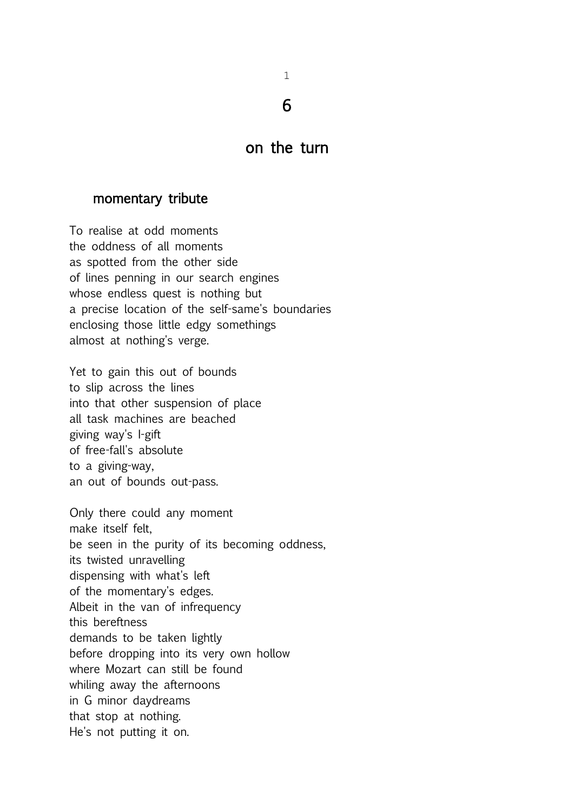1

6

## on the turn

### momentary tribute

To realise at odd moments the oddness of all moments as spotted from the other side of lines penning in our search engines whose endless quest is nothing but a precise location of the self-same's boundaries enclosing those little edgy somethings almost at nothing's verge.

Yet to gain this out of bounds to slip across the lines into that other suspension of place all task machines are beached giving way's I-gift of free-fall's absolute to a giving-way, an out of bounds out-pass.

Only there could any moment make itself felt, be seen in the purity of its becoming oddness, its twisted unravelling dispensing with what's left of the momentary's edges. Albeit in the van of infrequency this bereftness demands to be taken lightly before dropping into its very own hollow where Mozart can still be found whiling away the afternoons in G minor daydreams that stop at nothing. He's not putting it on.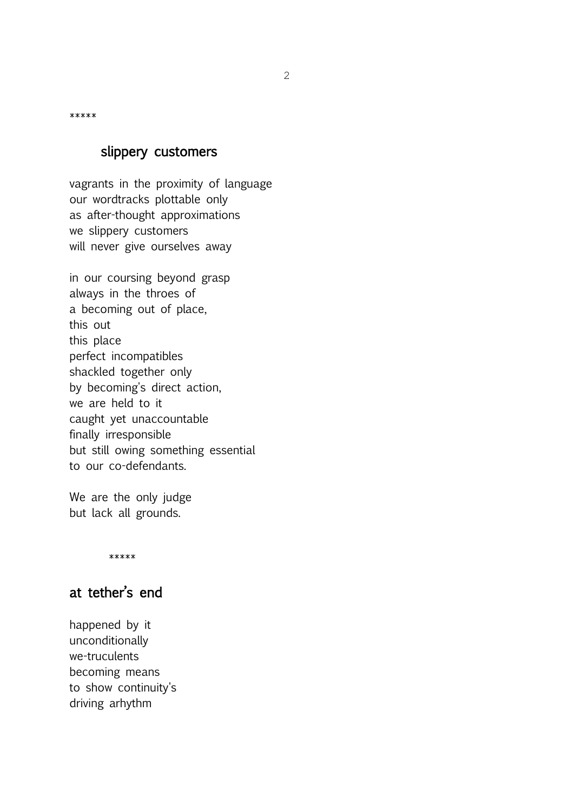\*\*\*\*\*

### slippery customers

vagrants in the proximity of language our wordtracks plottable only as after-thought approximations we slippery customers will never give ourselves away

in our coursing beyond grasp always in the throes of a becoming out of place, this out this place perfect incompatibles shackled together only by becoming's direct action, we are held to it caught yet unaccountable finally irresponsible but still owing something essential to our co-defendants.

We are the only judge but lack all grounds.

\*\*\*\*\*

# at tether's end

happened by it unconditionally we-truculents becoming means to show continuity's driving arhythm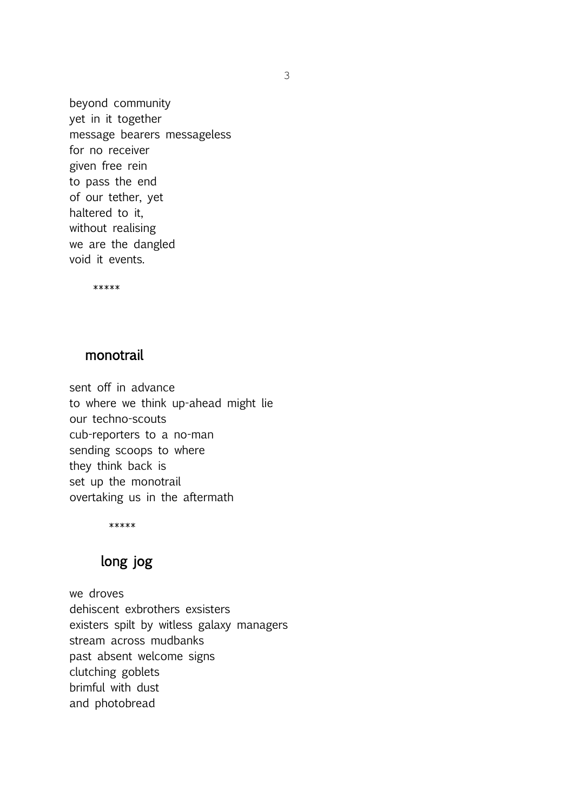beyond community yet in it together message bearers messageless for no receiver given free rein to pass the end of our tether, yet haltered to it, without realising we are the dangled void it events.

\*\*\*\*\*

### monotrail

sent off in advance to where we think up-ahead might lie our techno-scouts cub-reporters to a no-man sending scoops to where they think back is set up the monotrail overtaking us in the aftermath

\*\*\*\*\*

## long jog

we droves dehiscent exbrothers exsisters existers spilt by witless galaxy managers stream across mudbanks past absent welcome signs clutching goblets brimful with dust and photobread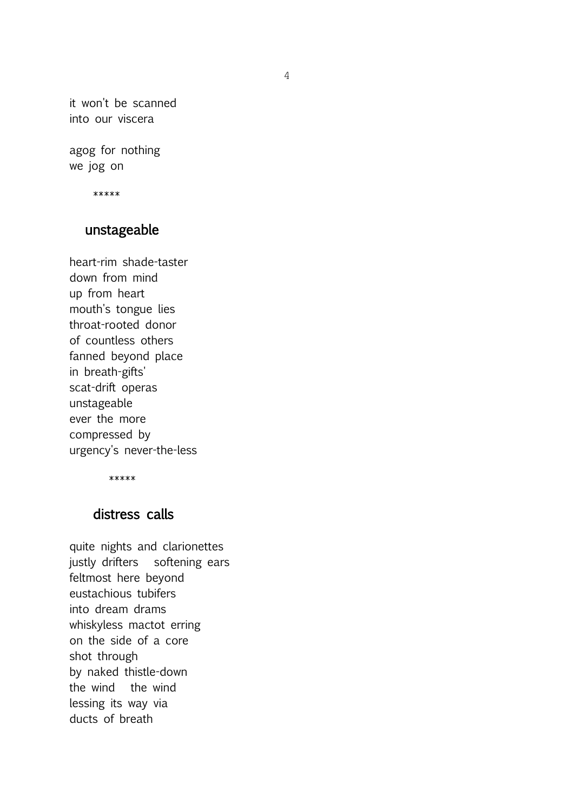it won't be scanned into our viscera

agog for nothing we jog on

\*\*\*\*\*

### unstageable

heart-rim shade-taster down from mind up from heart mouth's tongue lies throat-rooted donor of countless others fanned beyond place in breath-gifts' scat-drift operas unstageable ever the more compressed by urgency's never-the-less

\*\*\*\*\*

## distress calls

quite nights and clarionettes justly drifters softening ears feltmost here beyond eustachious tubifers into dream drams whiskyless mactot erring on the side of a core shot through by naked thistle-down the wind the wind lessing its way via ducts of breath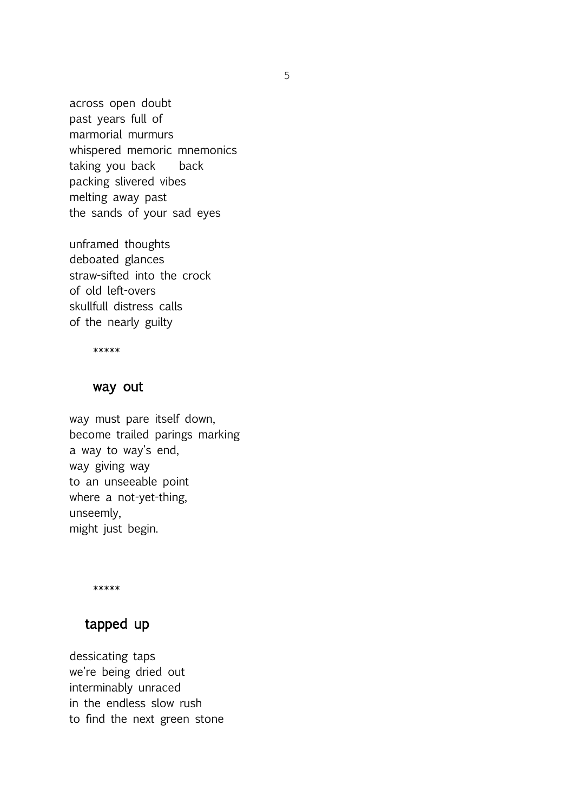across open doubt past years full of marmorial murmurs whispered memoric mnemonics taking you back back packing slivered vibes melting away past the sands of your sad eyes

unframed thoughts deboated glances straw-sifted into the crock of old left-overs skullfull distress calls of the nearly guilty

\*\*\*\*\*

### way out

way must pare itself down, become trailed parings marking a way to way's end, way giving way to an unseeable point where a not-yet-thing, unseemly, might just begin.

\*\*\*\*\*

## tapped up

dessicating taps we're being dried out interminably unraced in the endless slow rush to find the next green stone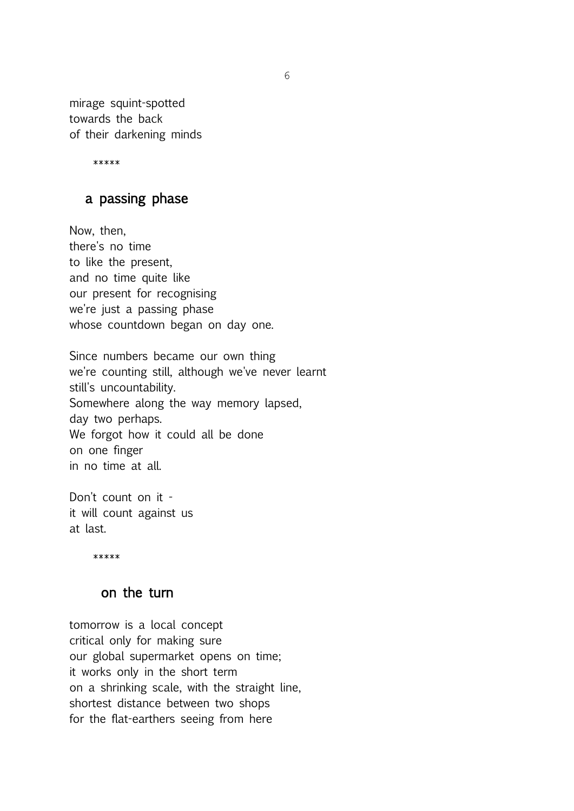mirage squint-spotted towards the back of their darkening minds

\*\*\*\*\*

### a passing phase

Now, then, there's no time to like the present, and no time quite like our present for recognising we're just a passing phase whose countdown began on day one.

Since numbers became our own thing we're counting still, although we've never learnt still's uncountability. Somewhere along the way memory lapsed, day two perhaps. We forgot how it could all be done on one finger in no time at all.

Don't count on it it will count against us at last.

\*\*\*\*\*

#### on the turn

tomorrow is a local concept critical only for making sure our global supermarket opens on time; it works only in the short term on a shrinking scale, with the straight line, shortest distance between two shops for the flat-earthers seeing from here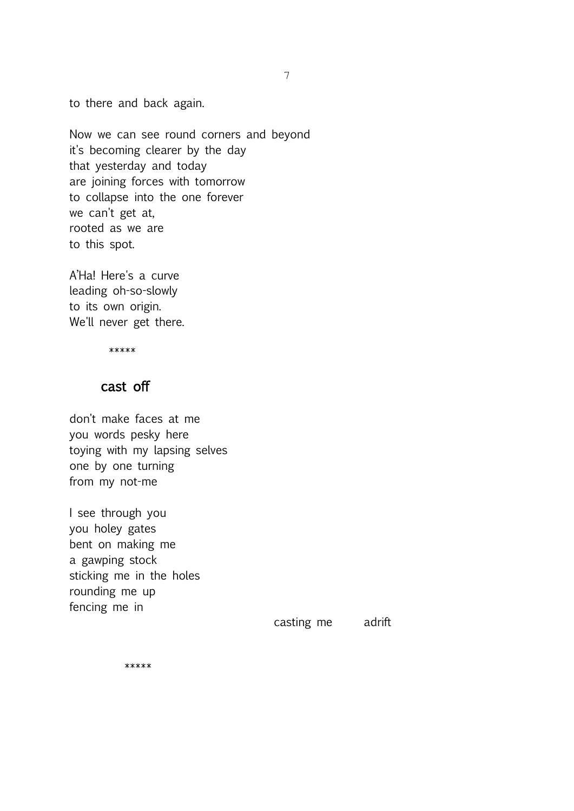to there and back again.

Now we can see round corners and beyond it's becoming clearer by the day that yesterday and today are joining forces with tomorrow to collapse into the one forever we can't get at, rooted as we are to this spot.

A'Ha! Here's a curve leading oh-so-slowly to its own origin. We'll never get there.

\*\*\*\*\*

#### cast off

don't make faces at me you words pesky here toying with my lapsing selves one by one turning from my not-me

I see through you you holey gates bent on making me a gawping stock sticking me in the holes rounding me up fencing me in

casting me adrift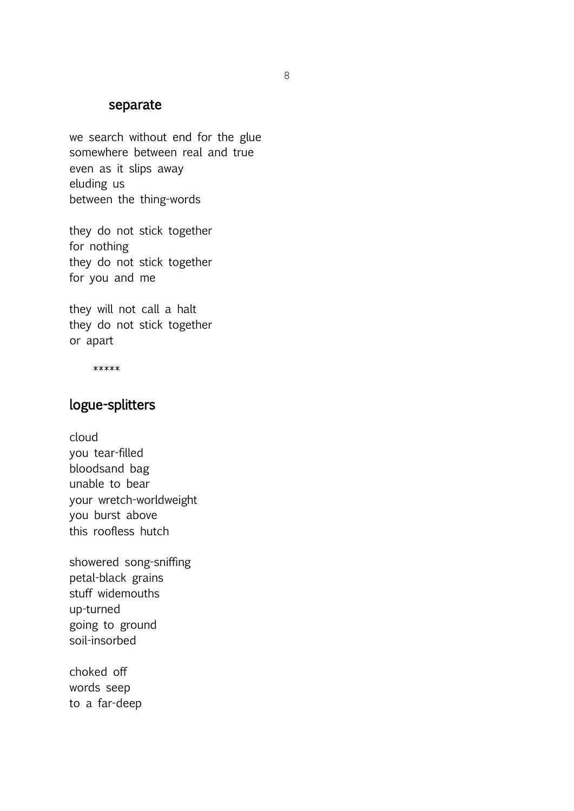#### separate

we search without end for the glue somewhere between real and true even as it slips away eluding us between the thing-words

they do not stick together for nothing they do not stick together for you and me

they will not call a halt they do not stick together or apart

\*\*\*\*\*

## logue-splitters

cloud you tear-filled bloodsand bag unable to bear your wretch-worldweight you burst above this roofless hutch

showered song-sniffing petal-black grains stuff widemouths up-turned going to ground soil-insorbed

choked off words seep to a far-deep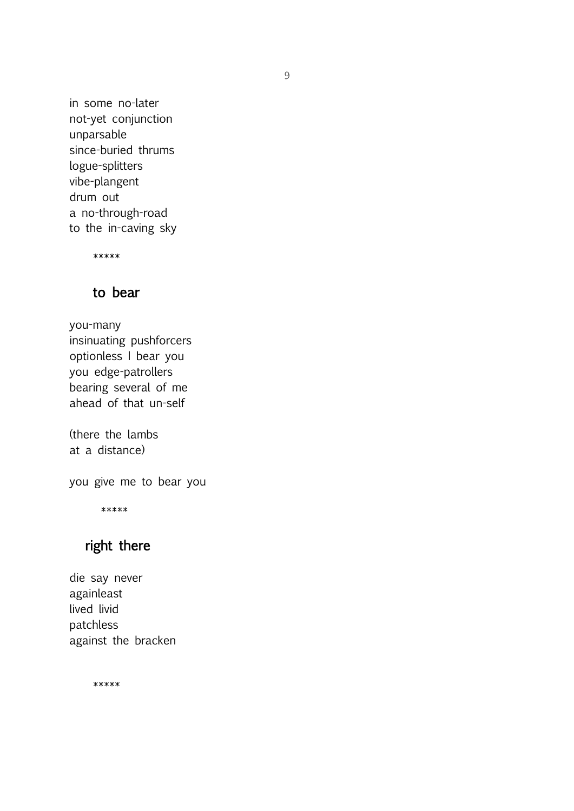in some no-later not-yet conjunction unparsable since-buried thrums logue-splitters vibe-plangent drum out a no-through-road to the in-caving sky

\*\*\*\*\*

## to bear

you-many insinuating pushforcers optionless I bear you you edge-patrollers bearing several of me ahead of that un-self

(there the lambs at a distance)

you give me to bear you

\*\*\*\*\*

# right there

die say never againleast lived livid patchless against the bracken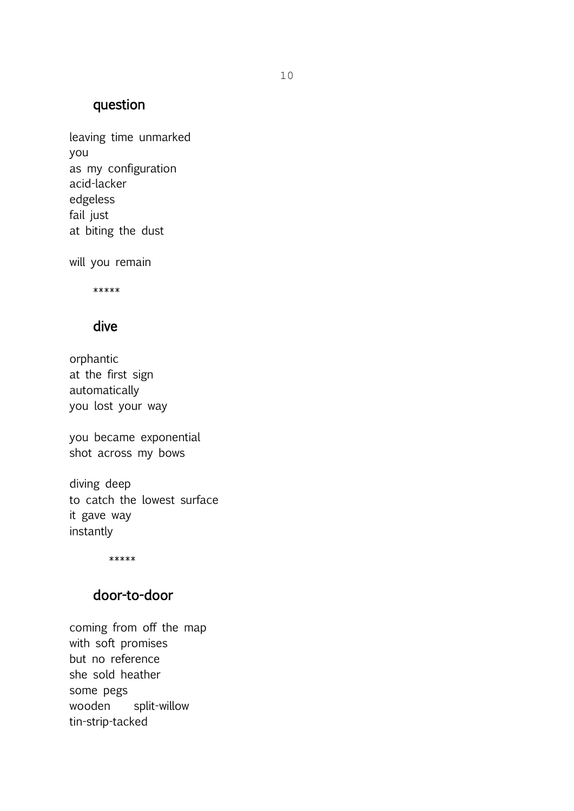# question

leaving time unmarked you as my configuration acid-lacker edgeless fail just at biting the dust

will you remain

\*\*\*\*\*

### dive

orphantic at the first sign automatically you lost your way

you became exponential shot across my bows

diving deep to catch the lowest surface it gave way instantly

\*\*\*\*\*

# door-to-door

coming from off the map with soft promises but no reference she sold heather some pegs wooden split-willow tin-strip-tacked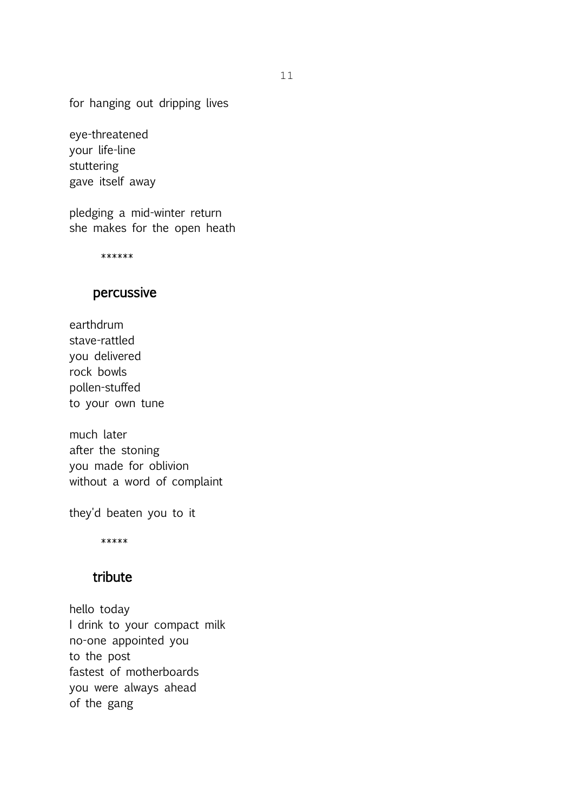for hanging out dripping lives

eye-threatened your life-line stuttering gave itself away

pledging a mid-winter return she makes for the open heath

\*\*\*\*\*\*

# percussive

earthdrum stave-rattled you delivered rock bowls pollen-stuffed to your own tune

much later after the stoning you made for oblivion without a word of complaint

they'd beaten you to it

\*\*\*\*\*

### tribute

hello today I drink to your compact milk no-one appointed you to the post fastest of motherboards you were always ahead of the gang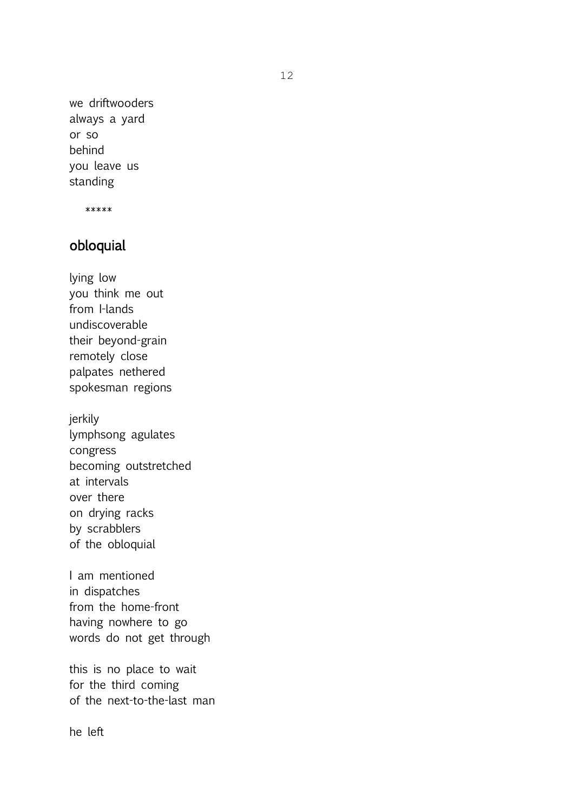we driftwooders always a yard or so behind you leave us standing

\*\*\*\*\*

## obloquial

lying low you think me out from I-lands undiscoverable their beyond-grain remotely close palpates nethered spokesman regions

jerkily lymphsong agulates congress becoming outstretched at intervals over there on drying racks by scrabblers of the obloquial

I am mentioned in dispatches from the home-front having nowhere to go words do not get through

this is no place to wait for the third coming of the next-to-the-last man

he left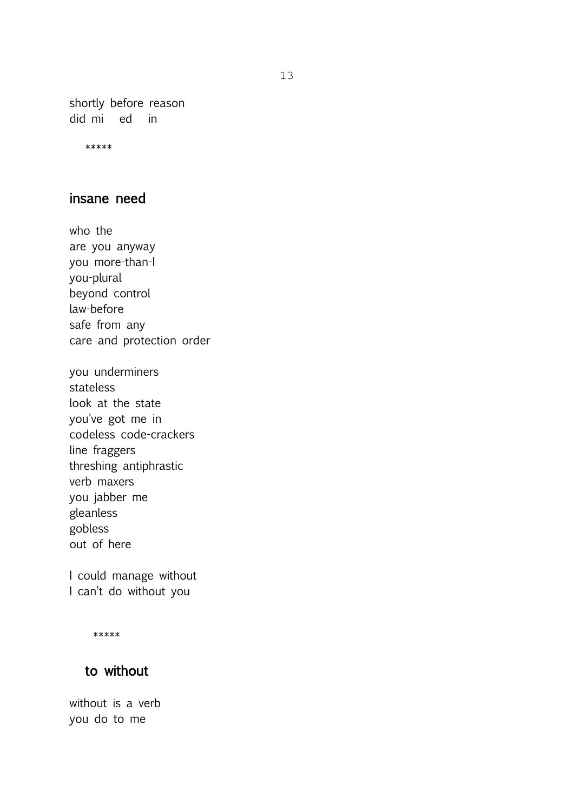shortly before reason did mi ed in

\*\*\*\*\*

## insane need

who the are you anyway you more-than-I you-plural beyond control law-before safe from any care and protection order

you underminers stateless look at the state you've got me in codeless code-crackers line fraggers threshing antiphrastic verb maxers you jabber me gleanless gobless out of here

I could manage without I can't do without you

\*\*\*\*\*

## to without

without is a verb you do to me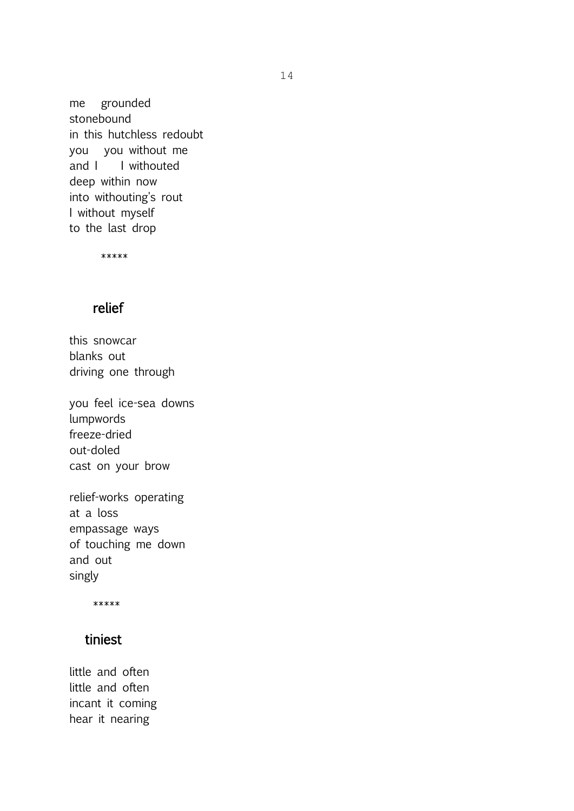me grounded stonebound in this hutchless redoubt you you without me and I I withouted deep within now into withouting's rout I without myself to the last drop

\*\*\*\*\*

### relief

this snowcar blanks out driving one through

you feel ice-sea downs lumpwords freeze-dried out-doled cast on your brow

relief-works operating at a loss empassage ways of touching me down and out singly

\*\*\*\*\*

### tiniest

little and often little and often incant it coming hear it nearing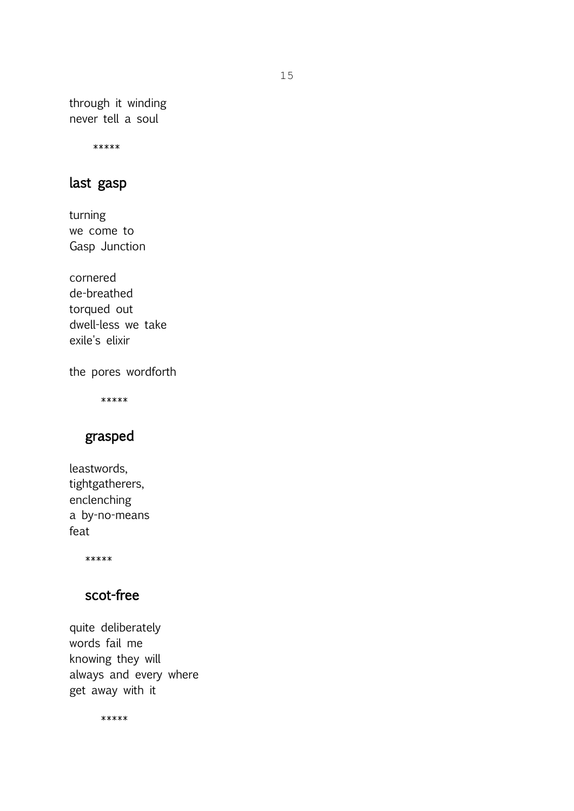through it winding never tell a soul

\*\*\*\*\*

### last gasp

turning we come to Gasp Junction

cornered de-breathed torqued out dwell-less we take exile's elixir

the pores wordforth

\*\*\*\*\*

# grasped

leastwords, tightgatherers, enclenching a by-no-means feat

\*\*\*\*\*

# scot-free

quite deliberately words fail me knowing they will always and every where get away with it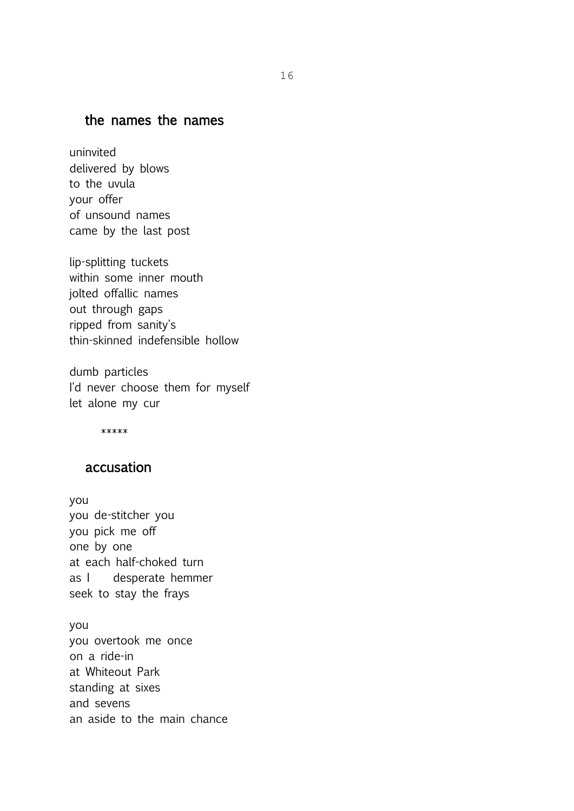### the names the names

uninvited delivered by blows to the uvula your offer of unsound names came by the last post

lip-splitting tuckets within some inner mouth jolted offallic names out through gaps ripped from sanity's thin-skinned indefensible hollow

dumb particles I'd never choose them for myself let alone my cur

\*\*\*\*\*

#### accusation

you you de-stitcher you you pick me off one by one at each half-choked turn as I desperate hemmer seek to stay the frays

you you overtook me once on a ride-in at Whiteout Park standing at sixes and sevens an aside to the main chance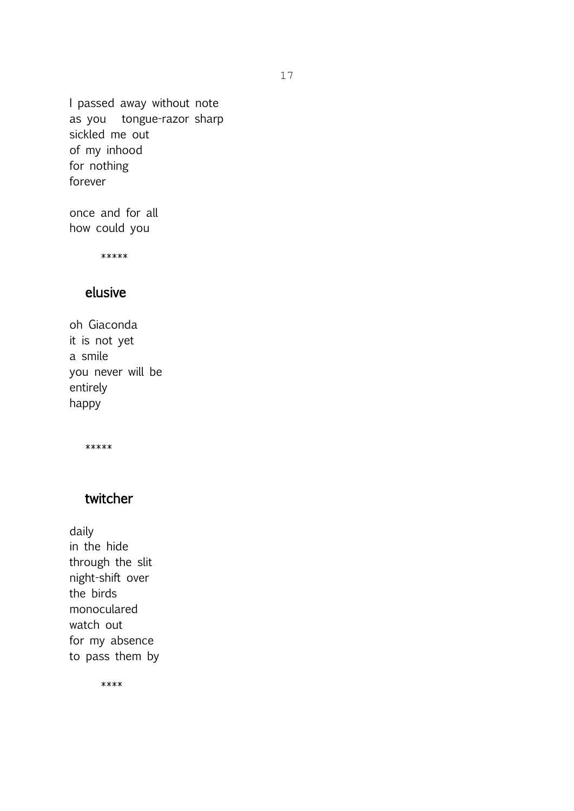I passed away without note as you tongue-razor sharp sickled me out of my inhood for nothing forever

once and for all how could you

\*\*\*\*\*

## elusive

oh Giaconda it is not yet a smile you never will be entirely happy

\*\*\*\*\*

## twitcher

daily in the hide through the slit night-shift over the birds monoculared watch out for my absence to pass them by

\*\*\*\*